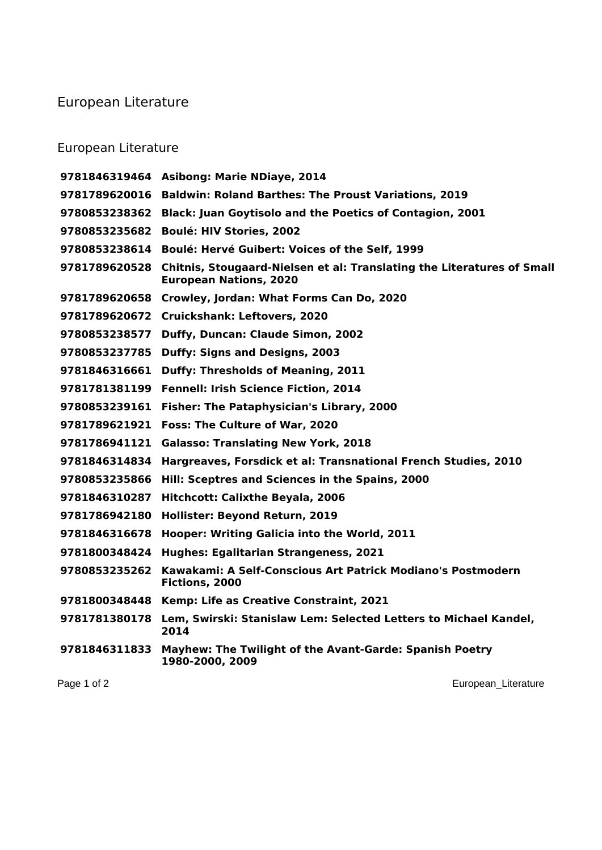## European Literature

## European Literature

| Page 1 of 2   | European_Literature                                                                                     |
|---------------|---------------------------------------------------------------------------------------------------------|
| 9781846311833 | Mayhew: The Twilight of the Avant-Garde: Spanish Poetry<br>1980-2000, 2009                              |
| 9781781380178 | Lem, Swirski: Stanislaw Lem: Selected Letters to Michael Kandel,<br>2014                                |
| 9781800348448 | Kemp: Life as Creative Constraint, 2021                                                                 |
| 9780853235262 | Kawakami: A Self-Conscious Art Patrick Modiano's Postmodern<br>Fictions, 2000                           |
| 9781800348424 | <b>Hughes: Egalitarian Strangeness, 2021</b>                                                            |
| 9781846316678 | Hooper: Writing Galicia into the World, 2011                                                            |
| 9781786942180 | Hollister: Beyond Return, 2019                                                                          |
| 9781846310287 | Hitchcott: Calixthe Beyala, 2006                                                                        |
| 9780853235866 | Hill: Sceptres and Sciences in the Spains, 2000                                                         |
| 9781846314834 | Hargreaves, Forsdick et al: Transnational French Studies, 2010                                          |
| 9781786941121 | <b>Galasso: Translating New York, 2018</b>                                                              |
| 9781789621921 | <b>Foss: The Culture of War, 2020</b>                                                                   |
| 9780853239161 | <b>Fisher: The Pataphysician's Library, 2000</b>                                                        |
| 9781781381199 | Fennell: Irish Science Fiction, 2014                                                                    |
| 9781846316661 | <b>Duffy: Thresholds of Meaning, 2011</b>                                                               |
| 9780853237785 | <b>Duffy: Signs and Designs, 2003</b>                                                                   |
| 9780853238577 | Duffy, Duncan: Claude Simon, 2002                                                                       |
|               | 9781789620672 Cruickshank: Leftovers, 2020                                                              |
| 9781789620658 | Crowley, Jordan: What Forms Can Do, 2020                                                                |
| 9781789620528 | Chitnis, Stougaard-Nielsen et al: Translating the Literatures of Small<br><b>European Nations, 2020</b> |
| 9780853238614 | <b>Boulé: Hervé Guibert: Voices of the Self, 1999</b>                                                   |
| 9780853235682 | <b>Boulé: HIV Stories, 2002</b>                                                                         |
| 9780853238362 | <b>Black: Juan Goytisolo and the Poetics of Contagion, 2001</b>                                         |
| 9781789620016 | <b>Baldwin: Roland Barthes: The Proust Variations, 2019</b>                                             |
|               | 9781846319464 Asibong: Marie NDiaye, 2014                                                               |